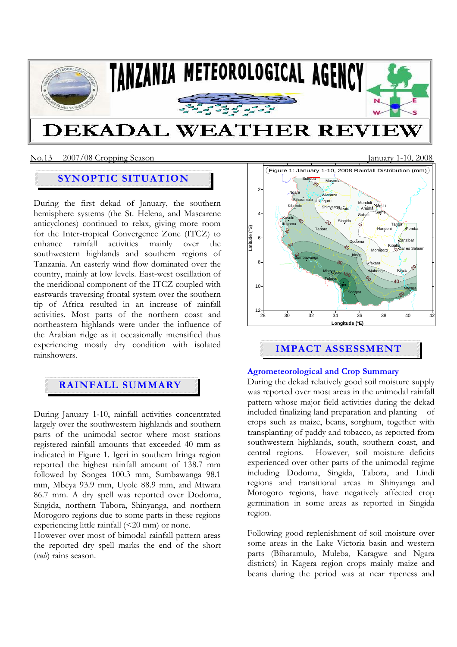

# **SYNOPTIC SITUATION**

During the first dekad of January, the southern hemisphere systems (the St. Helena, and Mascarene anticyclones) continued to relax, giving more room for the Inter-tropical Convergence Zone (ITCZ) to enhance rainfall activities mainly over the southwestern highlands and southern regions of Tanzania. An easterly wind flow dominated over the country, mainly at low levels. East-west oscillation of the meridional component of the ITCZ coupled with eastwards traversing frontal system over the southern tip of Africa resulted in an increase of rainfall activities. Most parts of the northern coast and northeastern highlands were under the influence of the Arabian ridge as it occasionally intensified thus experiencing mostly dry condition with isolated rainshowers.

# **RAINFALL SUMMARY**

During January 1-10, rainfall activities concentrated largely over the southwestern highlands and southern parts of the unimodal sector where most stations registered rainfall amounts that exceeded 40 mm as indicated in Figure 1. Igeri in southern Iringa region reported the highest rainfall amount of 138.7 mm followed by Songea 100.3 mm, Sumbawanga 98.1 mm, Mbeya 93.9 mm, Uyole 88.9 mm, and Mtwara 86.7 mm. A dry spell was reported over Dodoma, Singida, northern Tabora, Shinyanga, and northern Morogoro regions due to some parts in these regions experiencing little rainfall (<20 mm) or none.

However over most of bimodal rainfall pattern areas the reported dry spell marks the end of the short (*vuli*) rains season.



# **Agrometeorological and Crop Summary**

During the dekad relatively good soil moisture supply was reported over most areas in the unimodal rainfall pattern whose major field activities during the dekad included finalizing land preparation and planting of crops such as maize, beans, sorghum, together with transplanting of paddy and tobacco, as reported from southwestern highlands, south, southern coast, and central regions. However, soil moisture deficits experienced over other parts of the unimodal regime including Dodoma, Singida, Tabora, and Lindi regions and transitional areas in Shinyanga and Morogoro regions, have negatively affected crop germination in some areas as reported in Singida region.

Following good replenishment of soil moisture over some areas in the Lake Victoria basin and western parts (Biharamulo, Muleba, Karagwe and Ngara districts) in Kagera region crops mainly maize and beans during the period was at near ripeness and